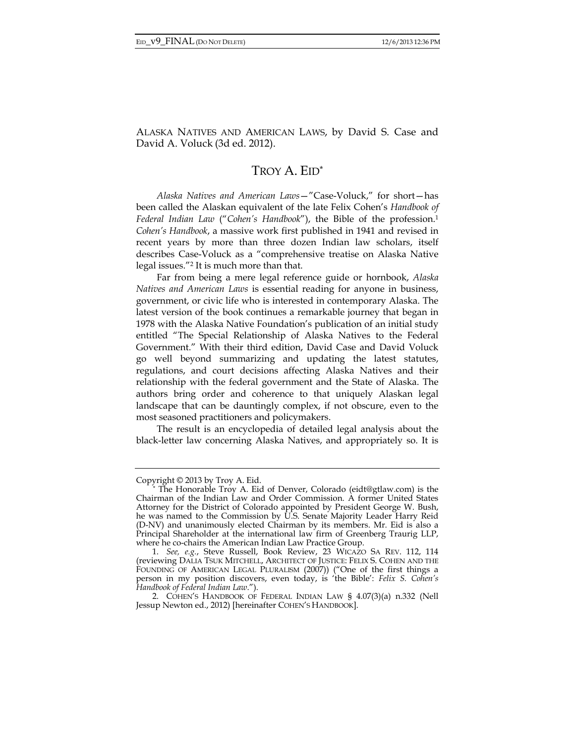ALASKA NATIVES AND AMERICAN LAWS, by David S. Case and David A. Voluck (3d ed. 2012).

## TROY A. EID\*

*Alaska Natives and American Laws*—"Case-Voluck," for short—has been called the Alaskan equivalent of the late Felix Cohen's *Handbook of Federal Indian Law* ("*Cohen's Handbook*"), the Bible of the profession.1 *Cohen's Handbook*, a massive work first published in 1941 and revised in recent years by more than three dozen Indian law scholars, itself describes Case-Voluck as a "comprehensive treatise on Alaska Native legal issues."2 It is much more than that.

Far from being a mere legal reference guide or hornbook, *Alaska Natives and American Laws* is essential reading for anyone in business, government, or civic life who is interested in contemporary Alaska. The latest version of the book continues a remarkable journey that began in 1978 with the Alaska Native Foundation's publication of an initial study entitled "The Special Relationship of Alaska Natives to the Federal Government." With their third edition, David Case and David Voluck go well beyond summarizing and updating the latest statutes, regulations, and court decisions affecting Alaska Natives and their relationship with the federal government and the State of Alaska. The authors bring order and coherence to that uniquely Alaskan legal landscape that can be dauntingly complex, if not obscure, even to the most seasoned practitioners and policymakers.

The result is an encyclopedia of detailed legal analysis about the black-letter law concerning Alaska Natives, and appropriately so. It is

Copyright © 2013 by Troy A. Eid. \* The Honorable Troy A. Eid of Denver, Colorado (eidt@gtlaw.com) is the Chairman of the Indian Law and Order Commission. A former United States Attorney for the District of Colorado appointed by President George W. Bush, he was named to the Commission by U.S. Senate Majority Leader Harry Reid (D-NV) and unanimously elected Chairman by its members. Mr. Eid is also a Principal Shareholder at the international law firm of Greenberg Traurig LLP, where he co-chairs the American Indian Law Practice Group.

 <sup>1.</sup> *See, e.g.*, Steve Russell, Book Review, 23 WICAZO SA REV. 112, 114 (reviewing DALIA TSUK MITCHELL, ARCHITECT OF JUSTICE: FELIX S. COHEN AND THE FOUNDING OF AMERICAN LEGAL PLURALISM (2007)) ("One of the first things a person in my position discovers, even today, is 'the Bible': *Felix S. Cohen's Handbook of Federal Indian Law*.").

 <sup>2.</sup> COHEN'S HANDBOOK OF FEDERAL INDIAN LAW § 4.07(3)(a) n.332 (Nell Jessup Newton ed., 2012) [hereinafter COHEN'S HANDBOOK].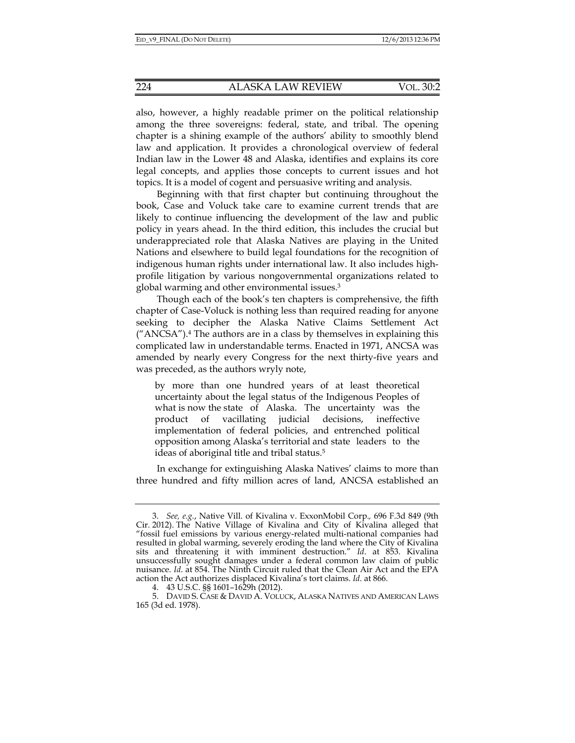also, however, a highly readable primer on the political relationship among the three sovereigns: federal, state, and tribal. The opening chapter is a shining example of the authors' ability to smoothly blend law and application. It provides a chronological overview of federal Indian law in the Lower 48 and Alaska, identifies and explains its core legal concepts, and applies those concepts to current issues and hot topics. It is a model of cogent and persuasive writing and analysis.

Beginning with that first chapter but continuing throughout the book, Case and Voluck take care to examine current trends that are likely to continue influencing the development of the law and public policy in years ahead. In the third edition, this includes the crucial but underappreciated role that Alaska Natives are playing in the United Nations and elsewhere to build legal foundations for the recognition of indigenous human rights under international law. It also includes highprofile litigation by various nongovernmental organizations related to global warming and other environmental issues.3

Though each of the book's ten chapters is comprehensive, the fifth chapter of Case-Voluck is nothing less than required reading for anyone seeking to decipher the Alaska Native Claims Settlement Act  $("ANCSA").$ <sup>4</sup> The authors are in a class by themselves in explaining this complicated law in understandable terms. Enacted in 1971, ANCSA was amended by nearly every Congress for the next thirty-five years and was preceded, as the authors wryly note,

by more than one hundred years of at least theoretical uncertainty about the legal status of the Indigenous Peoples of what is now the state of Alaska. The uncertainty was the product of vacillating judicial decisions, ineffective implementation of federal policies, and entrenched political opposition among Alaska's territorial and state leaders to the ideas of aboriginal title and tribal status.5

In exchange for extinguishing Alaska Natives' claims to more than three hundred and fifty million acres of land, ANCSA established an

 <sup>3.</sup> *See, e.g.*, Native Vill. of Kivalina v. ExxonMobil Corp.*,* 696 F.3d 849 (9th Cir. 2012). The Native Village of Kivalina and City of Kivalina alleged that "fossil fuel emissions by various energy-related multi-national companies had resulted in global warming, severely eroding the land where the City of Kivalina sits and threatening it with imminent destruction." *Id*. at 853. Kivalina unsuccessfully sought damages under a federal common law claim of public nuisance. *Id*. at 854. The Ninth Circuit ruled that the Clean Air Act and the EPA action the Act authorizes displaced Kivalina's tort claims. *Id*. at 866.

 <sup>4. 43</sup> U.S.C. §§ 1601–1629h (2012).

 <sup>5.</sup> DAVID S. CASE & DAVID A. VOLUCK, ALASKA NATIVES AND AMERICAN LAWS 165 (3d ed. 1978).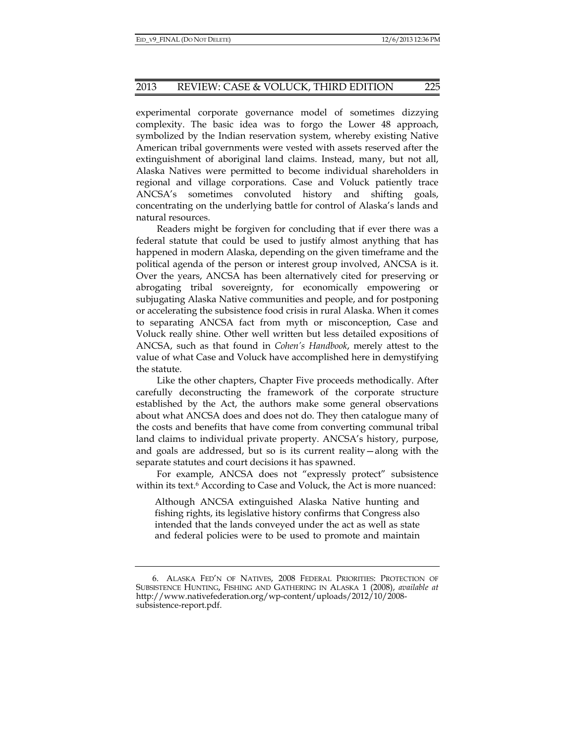experimental corporate governance model of sometimes dizzying complexity. The basic idea was to forgo the Lower 48 approach, symbolized by the Indian reservation system, whereby existing Native American tribal governments were vested with assets reserved after the extinguishment of aboriginal land claims. Instead, many, but not all, Alaska Natives were permitted to become individual shareholders in regional and village corporations. Case and Voluck patiently trace ANCSA's sometimes convoluted history and shifting goals, concentrating on the underlying battle for control of Alaska's lands and natural resources.

Readers might be forgiven for concluding that if ever there was a federal statute that could be used to justify almost anything that has happened in modern Alaska, depending on the given timeframe and the political agenda of the person or interest group involved, ANCSA is it. Over the years, ANCSA has been alternatively cited for preserving or abrogating tribal sovereignty, for economically empowering or subjugating Alaska Native communities and people, and for postponing or accelerating the subsistence food crisis in rural Alaska. When it comes to separating ANCSA fact from myth or misconception, Case and Voluck really shine. Other well written but less detailed expositions of ANCSA, such as that found in *Cohen's Handbook*, merely attest to the value of what Case and Voluck have accomplished here in demystifying the statute.

Like the other chapters, Chapter Five proceeds methodically. After carefully deconstructing the framework of the corporate structure established by the Act, the authors make some general observations about what ANCSA does and does not do. They then catalogue many of the costs and benefits that have come from converting communal tribal land claims to individual private property. ANCSA's history, purpose, and goals are addressed, but so is its current reality—along with the separate statutes and court decisions it has spawned.

For example, ANCSA does not "expressly protect" subsistence within its text.<sup>6</sup> According to Case and Voluck, the Act is more nuanced:

Although ANCSA extinguished Alaska Native hunting and fishing rights, its legislative history confirms that Congress also intended that the lands conveyed under the act as well as state and federal policies were to be used to promote and maintain

 <sup>6.</sup> ALASKA FED'N OF NATIVES, 2008 FEDERAL PRIORITIES: PROTECTION OF SUBSISTENCE HUNTING, FISHING AND GATHERING IN ALASKA 1 (2008), *available at*  http://www.nativefederation.org/wp-content/uploads/2012/10/2008 subsistence-report.pdf.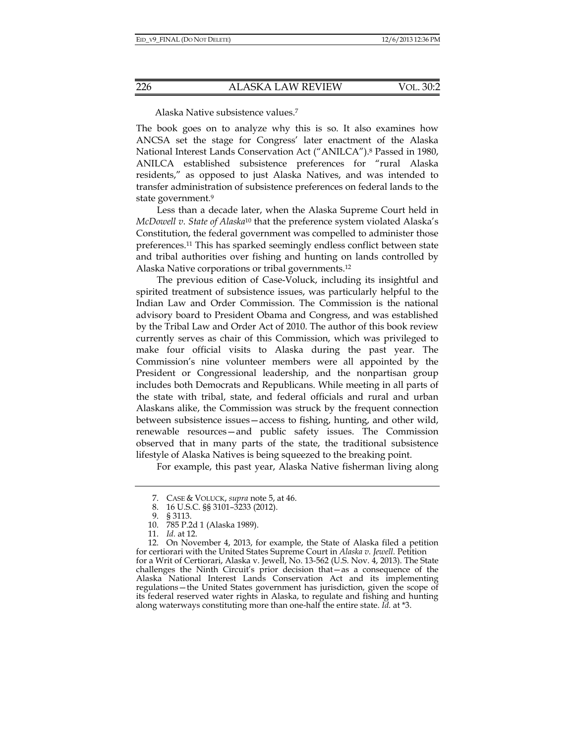Alaska Native subsistence values.7

The book goes on to analyze why this is so. It also examines how ANCSA set the stage for Congress' later enactment of the Alaska National Interest Lands Conservation Act ("ANILCA").8 Passed in 1980, ANILCA established subsistence preferences for "rural Alaska residents," as opposed to just Alaska Natives, and was intended to transfer administration of subsistence preferences on federal lands to the state government.9

Less than a decade later, when the Alaska Supreme Court held in *McDowell v. State of Alaska*<sup>10</sup> that the preference system violated Alaska's Constitution, the federal government was compelled to administer those preferences.11 This has sparked seemingly endless conflict between state and tribal authorities over fishing and hunting on lands controlled by Alaska Native corporations or tribal governments.12

The previous edition of Case-Voluck, including its insightful and spirited treatment of subsistence issues, was particularly helpful to the Indian Law and Order Commission. The Commission is the national advisory board to President Obama and Congress, and was established by the Tribal Law and Order Act of 2010. The author of this book review currently serves as chair of this Commission, which was privileged to make four official visits to Alaska during the past year. The Commission's nine volunteer members were all appointed by the President or Congressional leadership, and the nonpartisan group includes both Democrats and Republicans. While meeting in all parts of the state with tribal, state, and federal officials and rural and urban Alaskans alike, the Commission was struck by the frequent connection between subsistence issues—access to fishing, hunting, and other wild, renewable resources—and public safety issues. The Commission observed that in many parts of the state, the traditional subsistence lifestyle of Alaska Natives is being squeezed to the breaking point.

For example, this past year, Alaska Native fisherman living along

 <sup>7.</sup> CASE & VOLUCK, *supra* note 5, at 46.

 <sup>8. 16</sup> U.S.C. §§ 3101–3233 (2012).

 <sup>9. § 3113.</sup> 

 <sup>10. 785</sup> P.2d 1 (Alaska 1989).

 <sup>11.</sup> *Id.* at 12.

 <sup>12.</sup> On November 4, 2013, for example, the State of Alaska filed a petition for certiorari with the United States Supreme Court in *Alaska v. Jewell.* Petition for a Writ of Certiorari, Alaska v. Jewell, No. 13-562 (U.S. Nov. 4, 2013). The State challenges the Ninth Circuit's prior decision that—as a consequence of the Alaska National Interest Lands Conservation Act and its implementing regulations—the United States government has jurisdiction, given the scope of its federal reserved water rights in Alaska, to regulate and fishing and hunting along waterways constituting more than one-half the entire state. *Id*. at \*3.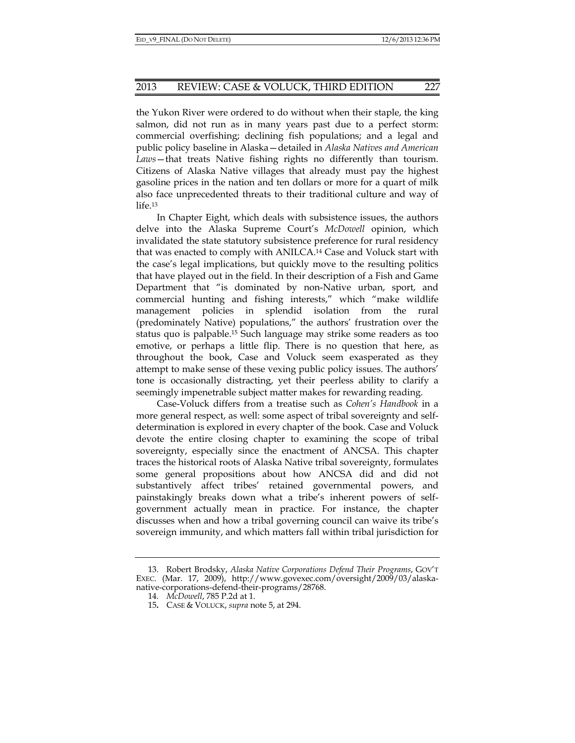the Yukon River were ordered to do without when their staple, the king salmon, did not run as in many years past due to a perfect storm: commercial overfishing; declining fish populations; and a legal and public policy baseline in Alaska—detailed in *Alaska Natives and American Laws*—that treats Native fishing rights no differently than tourism. Citizens of Alaska Native villages that already must pay the highest gasoline prices in the nation and ten dollars or more for a quart of milk also face unprecedented threats to their traditional culture and way of life.13

In Chapter Eight, which deals with subsistence issues, the authors delve into the Alaska Supreme Court's *McDowell* opinion, which invalidated the state statutory subsistence preference for rural residency that was enacted to comply with ANILCA.14 Case and Voluck start with the case's legal implications, but quickly move to the resulting politics that have played out in the field. In their description of a Fish and Game Department that "is dominated by non-Native urban, sport, and commercial hunting and fishing interests," which "make wildlife management policies in splendid isolation from the rural (predominately Native) populations," the authors' frustration over the status quo is palpable.15 Such language may strike some readers as too emotive, or perhaps a little flip. There is no question that here, as throughout the book, Case and Voluck seem exasperated as they attempt to make sense of these vexing public policy issues. The authors' tone is occasionally distracting, yet their peerless ability to clarify a seemingly impenetrable subject matter makes for rewarding reading.

Case-Voluck differs from a treatise such as *Cohen's Handbook* in a more general respect, as well: some aspect of tribal sovereignty and selfdetermination is explored in every chapter of the book. Case and Voluck devote the entire closing chapter to examining the scope of tribal sovereignty, especially since the enactment of ANCSA. This chapter traces the historical roots of Alaska Native tribal sovereignty, formulates some general propositions about how ANCSA did and did not substantively affect tribes' retained governmental powers, and painstakingly breaks down what a tribe's inherent powers of selfgovernment actually mean in practice. For instance, the chapter discusses when and how a tribal governing council can waive its tribe's sovereign immunity, and which matters fall within tribal jurisdiction for

 <sup>13.</sup> Robert Brodsky, *Alaska Native Corporations Defend Their Programs*, GOV'T EXEC. (Mar. 17, 2009), http://www.govexec.com/oversight/2009/03/alaskanative-corporations-defend-their-programs/28768.

 <sup>14.</sup> *McDowell*, 785 P.2d at 1.

<sup>15</sup>**.** CASE & VOLUCK, *supra* note 5, at 294.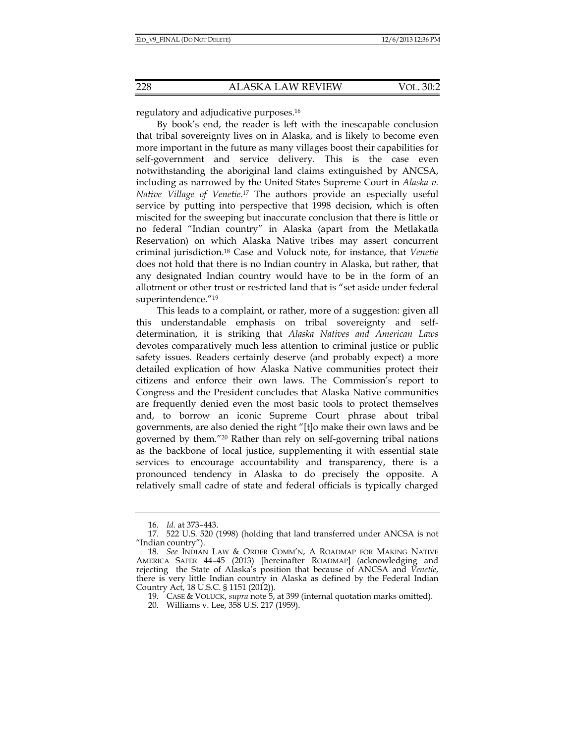regulatory and adjudicative purposes.16

By book's end, the reader is left with the inescapable conclusion that tribal sovereignty lives on in Alaska, and is likely to become even more important in the future as many villages boost their capabilities for self-government and service delivery. This is the case even notwithstanding the aboriginal land claims extinguished by ANCSA, including as narrowed by the United States Supreme Court in *Alaska v. Native Village of Venetie*. 17 The authors provide an especially useful service by putting into perspective that 1998 decision, which is often miscited for the sweeping but inaccurate conclusion that there is little or no federal "Indian country" in Alaska (apart from the Metlakatla Reservation) on which Alaska Native tribes may assert concurrent criminal jurisdiction.18 Case and Voluck note, for instance, that *Venetie* does not hold that there is no Indian country in Alaska, but rather, that any designated Indian country would have to be in the form of an allotment or other trust or restricted land that is "set aside under federal superintendence."19

This leads to a complaint, or rather, more of a suggestion: given all this understandable emphasis on tribal sovereignty and selfdetermination, it is striking that *Alaska Natives and American Laws* devotes comparatively much less attention to criminal justice or public safety issues. Readers certainly deserve (and probably expect) a more detailed explication of how Alaska Native communities protect their citizens and enforce their own laws. The Commission's report to Congress and the President concludes that Alaska Native communities are frequently denied even the most basic tools to protect themselves and, to borrow an iconic Supreme Court phrase about tribal governments, are also denied the right "[t]o make their own laws and be governed by them."20 Rather than rely on self-governing tribal nations as the backbone of local justice, supplementing it with essential state services to encourage accountability and transparency, there is a pronounced tendency in Alaska to do precisely the opposite. A relatively small cadre of state and federal officials is typically charged

 <sup>16.</sup> *Id.* at 373–443.

 <sup>17. 522</sup> U.S. 520 (1998) (holding that land transferred under ANCSA is not "Indian country").

 <sup>18.</sup> *See* INDIAN LAW & ORDER COMM'N, A ROADMAP FOR MAKING NATIVE AMERICA SAFER 44–45 (2013) [hereinafter ROADMAP] (acknowledging and rejecting the State of Alaska's position that because of ANCSA and *Venetie*, there is very little Indian country in Alaska as defined by the Federal Indian Country Act, 18 U.S.C. § 1151 (2012)).

 <sup>19.</sup> CASE & VOLUCK, *supra* note 5, at 399 (internal quotation marks omitted).

 <sup>20.</sup> Williams v. Lee, 358 U.S. 217 (1959).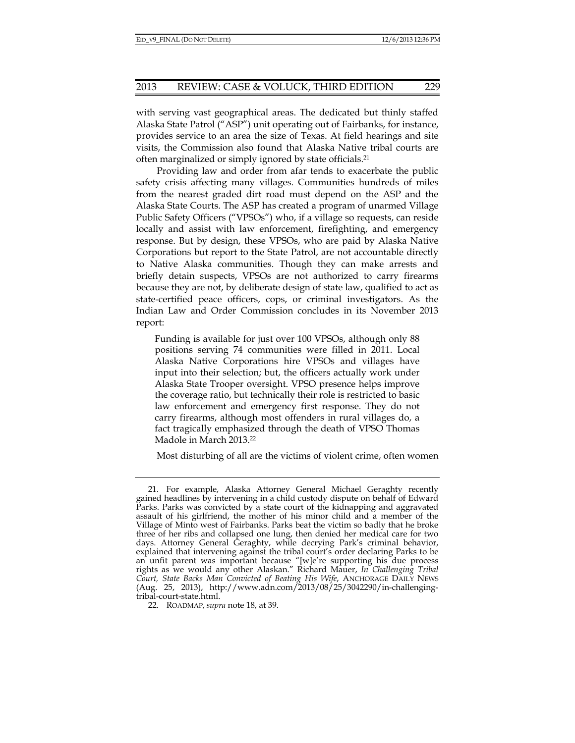with serving vast geographical areas. The dedicated but thinly staffed Alaska State Patrol ("ASP") unit operating out of Fairbanks, for instance, provides service to an area the size of Texas. At field hearings and site visits, the Commission also found that Alaska Native tribal courts are often marginalized or simply ignored by state officials.21

Providing law and order from afar tends to exacerbate the public safety crisis affecting many villages. Communities hundreds of miles from the nearest graded dirt road must depend on the ASP and the Alaska State Courts. The ASP has created a program of unarmed Village Public Safety Officers ("VPSOs") who, if a village so requests, can reside locally and assist with law enforcement, firefighting, and emergency response. But by design, these VPSOs, who are paid by Alaska Native Corporations but report to the State Patrol, are not accountable directly to Native Alaska communities. Though they can make arrests and briefly detain suspects, VPSOs are not authorized to carry firearms because they are not, by deliberate design of state law, qualified to act as state-certified peace officers, cops, or criminal investigators. As the Indian Law and Order Commission concludes in its November 2013 report:

Funding is available for just over 100 VPSOs, although only 88 positions serving 74 communities were filled in 2011. Local Alaska Native Corporations hire VPSOs and villages have input into their selection; but, the officers actually work under Alaska State Trooper oversight. VPSO presence helps improve the coverage ratio, but technically their role is restricted to basic law enforcement and emergency first response. They do not carry firearms, although most offenders in rural villages do, a fact tragically emphasized through the death of VPSO Thomas Madole in March 2013.22

Most disturbing of all are the victims of violent crime, often women

 <sup>21.</sup> For example, Alaska Attorney General Michael Geraghty recently gained headlines by intervening in a child custody dispute on behalf of Edward Parks. Parks was convicted by a state court of the kidnapping and aggravated assault of his girlfriend, the mother of his minor child and a member of the Village of Minto west of Fairbanks. Parks beat the victim so badly that he broke three of her ribs and collapsed one lung, then denied her medical care for two days. Attorney General Geraghty, while decrying Park's criminal behavior, explained that intervening against the tribal court's order declaring Parks to be an unfit parent was important because "[w]e're supporting his due process rights as we would any other Alaskan." Richard Mauer, *In Challenging Tribal Court, State Backs Man Convicted of Beating His Wife*, ANCHORAGE DAILY NEWS (Aug. 25, 2013), http://www.adn.com/2013/08/25/3042290/in-challengingtribal-court-state.html.

 <sup>22.</sup> ROADMAP, *supra* note 18, at 39.